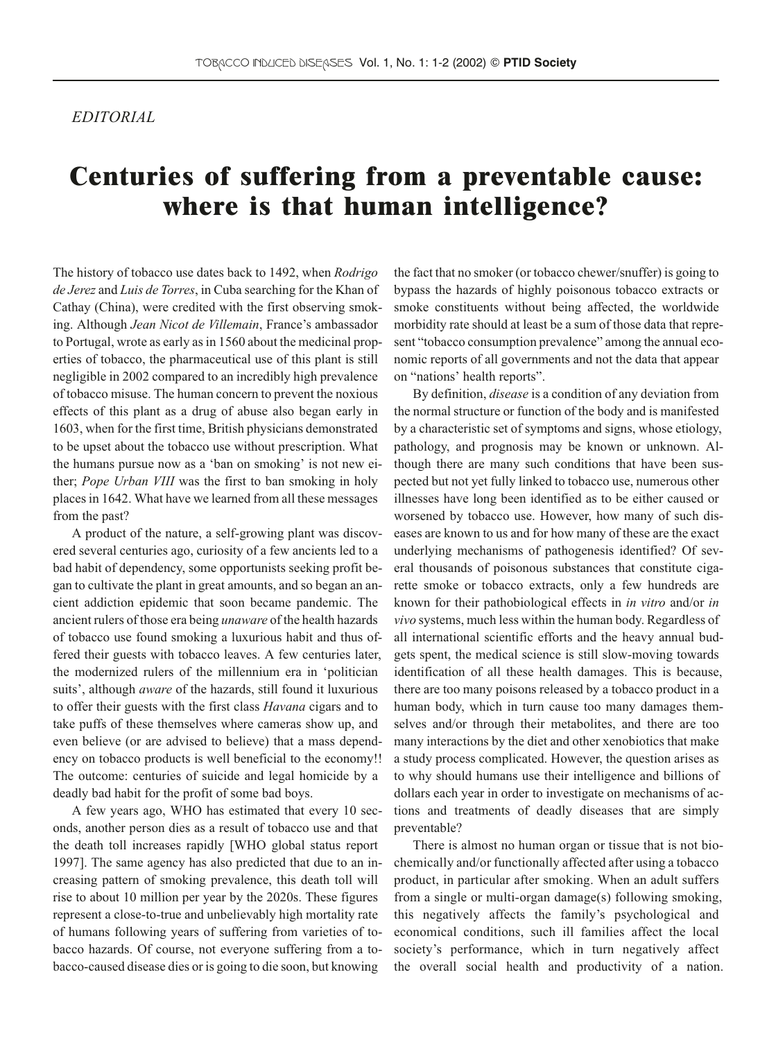## *EDITORIAL*

## Centuries of suffering from a preventable cause: where is that human intelligence?

The history of tobacco use dates back to 1492, when *Rodrigo de Jerez* and *Luis de Torres*, in Cuba searching for the Khan of Cathay (China), were credited with the first observing smoking. Although *Jean Nicot de Villemain*, France's ambassador to Portugal, wrote as early as in 1560 about the medicinal properties of tobacco, the pharmaceutical use of this plant is still negligible in 2002 compared to an incredibly high prevalence of tobacco misuse. The human concern to prevent the noxious effects of this plant as a drug of abuse also began early in 1603, when for the first time, British physicians demonstrated to be upset about the tobacco use without prescription. What the humans pursue now as a 'ban on smoking' is not new either; *Pope Urban VIII* was the first to ban smoking in holy places in 1642. What have we learned from all these messages from the past?

A product of the nature, a self-growing plant was discovered several centuries ago, curiosity of a few ancients led to a bad habit of dependency, some opportunists seeking profit began to cultivate the plant in great amounts, and so began an ancient addiction epidemic that soon became pandemic. The ancient rulers of those era being *unaware* of the health hazards of tobacco use found smoking a luxurious habit and thus offered their guests with tobacco leaves. A few centuries later, the modernized rulers of the millennium era in 'politician suits', although *aware* of the hazards, still found it luxurious to offer their guests with the first class *Havana* cigars and to take puffs of these themselves where cameras show up, and even believe (or are advised to believe) that a mass dependency on tobacco products is well beneficial to the economy!! The outcome: centuries of suicide and legal homicide by a deadly bad habit for the profit of some bad boys.

A few years ago, WHO has estimated that every 10 seconds, another person dies as a result of tobacco use and that the death toll increases rapidly [WHO global status report 1997]. The same agency has also predicted that due to an increasing pattern of smoking prevalence, this death toll will rise to about 10 million per year by the 2020s. These figures represent a close-to-true and unbelievably high mortality rate of humans following years of suffering from varieties of tobacco hazards. Of course, not everyone suffering from a tobacco-caused disease dies or is going to die soon, but knowing

the fact that no smoker (or tobacco chewer/snuffer) is going to bypass the hazards of highly poisonous tobacco extracts or smoke constituents without being affected, the worldwide morbidity rate should at least be a sum of those data that represent "tobacco consumption prevalence" among the annual economic reports of all governments and not the data that appear on "nations' health reports".

By definition, *disease* is a condition of any deviation from the normal structure or function of the body and is manifested by a characteristic set of symptoms and signs, whose etiology, pathology, and prognosis may be known or unknown. Although there are many such conditions that have been suspected but not yet fully linked to tobacco use, numerous other illnesses have long been identified as to be either caused or worsened by tobacco use. However, how many of such diseases are known to us and for how many of these are the exact underlying mechanisms of pathogenesis identified? Of several thousands of poisonous substances that constitute cigarette smoke or tobacco extracts, only a few hundreds are known for their pathobiological effects in *in vitro* and/or *in vivo* systems, much less within the human body. Regardless of all international scientific efforts and the heavy annual budgets spent, the medical science is still slow-moving towards identification of all these health damages. This is because, there are too many poisons released by a tobacco product in a human body, which in turn cause too many damages themselves and/or through their metabolites, and there are too many interactions by the diet and other xenobiotics that make a study process complicated. However, the question arises as to why should humans use their intelligence and billions of dollars each year in order to investigate on mechanisms of actions and treatments of deadly diseases that are simply preventable?

There is almost no human organ or tissue that is not biochemically and/or functionally affected after using a tobacco product, in particular after smoking. When an adult suffers from a single or multi-organ damage(s) following smoking, this negatively affects the family's psychological and economical conditions, such ill families affect the local society's performance, which in turn negatively affect the overall social health and productivity of a nation.